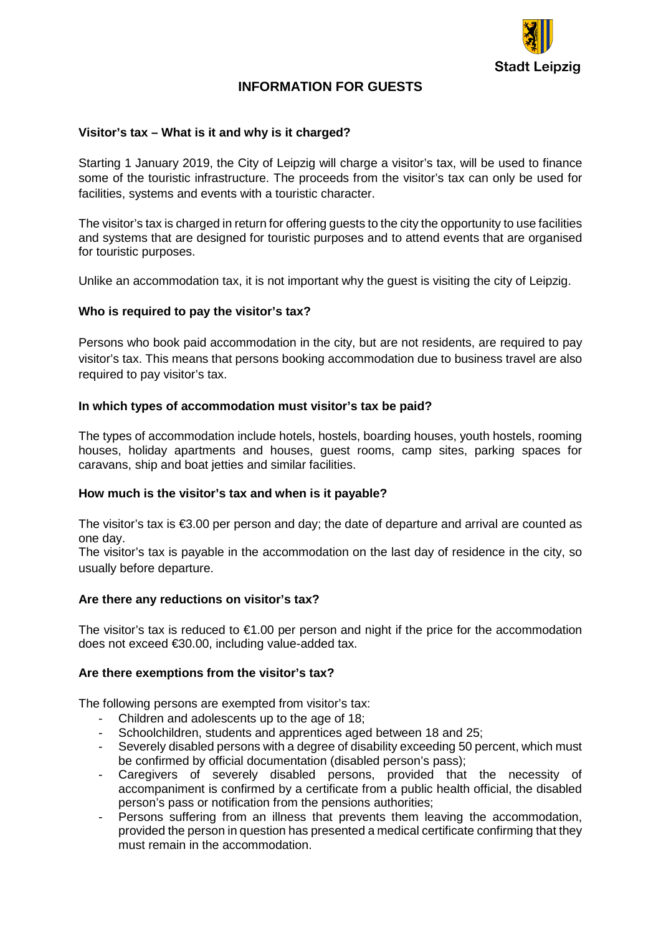

# **INFORMATION FOR GUESTS**

## **Visitor's tax – What is it and why is it charged?**

Starting 1 January 2019, the City of Leipzig will charge a visitor's tax, will be used to finance some of the touristic infrastructure. The proceeds from the visitor's tax can only be used for facilities, systems and events with a touristic character.

The visitor's tax is charged in return for offering guests to the city the opportunity to use facilities and systems that are designed for touristic purposes and to attend events that are organised for touristic purposes.

Unlike an accommodation tax, it is not important why the guest is visiting the city of Leipzig.

### **Who is required to pay the visitor's tax?**

Persons who book paid accommodation in the city, but are not residents, are required to pay visitor's tax. This means that persons booking accommodation due to business travel are also required to pay visitor's tax.

### **In which types of accommodation must visitor's tax be paid?**

The types of accommodation include hotels, hostels, boarding houses, youth hostels, rooming houses, holiday apartments and houses, guest rooms, camp sites, parking spaces for caravans, ship and boat jetties and similar facilities.

### **How much is the visitor's tax and when is it payable?**

The visitor's tax is €3.00 per person and day; the date of departure and arrival are counted as one day.

The visitor's tax is payable in the accommodation on the last day of residence in the city, so usually before departure.

### **Are there any reductions on visitor's tax?**

The visitor's tax is reduced to  $\epsilon$ 1.00 per person and night if the price for the accommodation does not exceed €30.00, including value-added tax.

### **Are there exemptions from the visitor's tax?**

The following persons are exempted from visitor's tax:

- Children and adolescents up to the age of 18;
- Schoolchildren, students and apprentices aged between 18 and 25;
- Severely disabled persons with a degree of disability exceeding 50 percent, which must be confirmed by official documentation (disabled person's pass);
- Caregivers of severely disabled persons, provided that the necessity of accompaniment is confirmed by a certificate from a public health official, the disabled person's pass or notification from the pensions authorities;
- Persons suffering from an illness that prevents them leaving the accommodation, provided the person in question has presented a medical certificate confirming that they must remain in the accommodation.